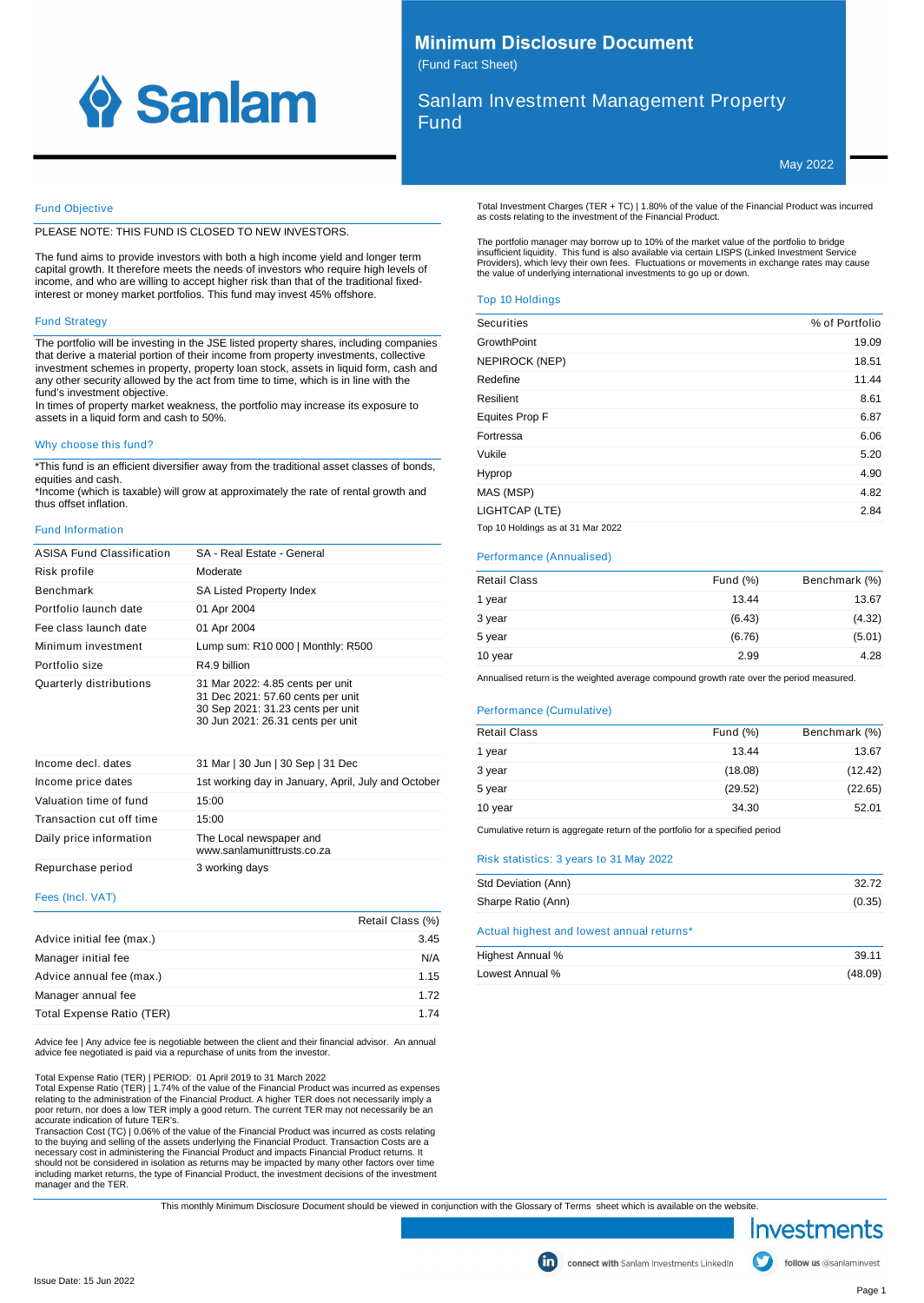

## **Minimum Disclosure Document** (Fund Fact Sheet)

Sanlam Investment Management Property Fund

May 2022

## Fund Objective

PLEASE NOTE: THIS FUND IS CLOSED TO NEW INVESTORS.

The fund aims to provide investors with both a high income yield and longer term capital growth. It therefore meets the needs of investors who require high levels of income, and who are willing to accept higher risk than that of the traditional fixedinterest or money market portfolios. This fund may invest 45% offshore.

## Fund Strategy

The portfolio will be investing in the JSE listed property shares, including companies that derive a material portion of their income from property investments, collective investment schemes in property, property loan stock, assets in liquid form, cash and any other security allowed by the act from time to time, which is in line with the fund's investment objective.

In times of property market weakness, the portfolio may increase its exposure to assets in a liquid form and cash to 50%.

## Why choose this fund?

\*This fund is an efficient diversifier away from the traditional asset classes of bonds, equities and cash.

\*Income (which is taxable) will grow at approximately the rate of rental growth and thus offset inflation.

## Fund Information

| ASISA Fund Classification | SA - Real Estate - General                                                                                                                      |
|---------------------------|-------------------------------------------------------------------------------------------------------------------------------------------------|
| Risk profile              | Moderate                                                                                                                                        |
| <b>Benchmark</b>          | SA Listed Property Index                                                                                                                        |
| Portfolio launch date     | 01 Apr 2004                                                                                                                                     |
| Fee class launch date     | 01 Apr 2004                                                                                                                                     |
| Minimum investment        | Lump sum: R10 000   Monthly: R500                                                                                                               |
| Portfolio size            | R4.9 billion                                                                                                                                    |
| Quarterly distributions   | 31 Mar 2022: 4.85 cents per unit<br>31 Dec 2021: 57.60 cents per unit<br>30 Sep 2021: 31.23 cents per unit<br>30 Jun 2021: 26.31 cents per unit |
| Income decl. dates        | 31 Mar   30 Jun   30 Sep   31 Dec                                                                                                               |
| Income price dates        | 1st working day in January, April, July and October                                                                                             |
| Valuation time of fund    | 15:00                                                                                                                                           |
| Transaction cut off time  | 15:00                                                                                                                                           |
| Daily price information   | The Local newspaper and<br>www sanlamunittrusts co za                                                                                           |
| Repurchase period         | 3 working days                                                                                                                                  |

#### Fees (Incl. VAT)

|                           | Retail Class (%) |
|---------------------------|------------------|
| Advice initial fee (max.) | 3.45             |
| Manager initial fee       | N/A              |
| Advice annual fee (max.)  | 1.15             |
| Manager annual fee        | 1.72             |
| Total Expense Ratio (TER) | 1 74             |

Advice fee | Any advice fee is negotiable between the client and their financial advisor. An annual advice fee negotiated is paid via a repurchase of units from the investor.

Total Expense Ratio (TER) | PERIOD: 01 April 2019 to 31 March 2022

Total Expense Ratio (TER) | 1.74% of the value of the Financial Product was incurred as expenses relating to the administration of the Financial Product. A higher TER does not necessarily imply a poor return, nor does a low TER imply a good return. The current TER may not necessarily be an accurate indication of future TER's.

Transaction Cost (TC) | 0.06% of the value of the Financial Product was incurred as costs relating<br>to the buying and selling of the assets underlying the Financial Product. Transaction Costs are a<br>necessary cost in adminis including market returns, the type of Financial Product, the investment decisions of the investment manager and the TER. Total Investment Charges (TER + TC) | 1.80% of the value of the Financial Product was incurred as costs relating to the investment of the Financial Product.

The portfolio manager may borrow up to 10% of the market value of the portfolio to bridge insufficient liquidity. This fund is also available via certain LISPS (Linked Investment Service Providers), which levy their own fees. Fluctuations or movements in exchange rates may cause the value of underlying international investments to go up or down.

### Top 10 Holdings

| <b>Securities</b>                 | % of Portfolio |
|-----------------------------------|----------------|
| GrowthPoint                       | 19.09          |
| NEPIROCK (NEP)                    | 18.51          |
| Redefine                          | 11.44          |
| Resilient                         | 8.61           |
| Equites Prop F                    | 6.87           |
| Fortressa                         | 6.06           |
| Vukile                            | 5.20           |
| Hyprop                            | 4.90           |
| MAS (MSP)                         | 4.82           |
| LIGHTCAP (LTE)                    | 2.84           |
| Top 10 Holdings as at 31 Mar 2022 |                |

## Performance (Annualised)

| <b>Retail Class</b> | Fund $(\%)$ | Benchmark (%) |
|---------------------|-------------|---------------|
| 1 year              | 13.44       | 13.67         |
| 3 year              | (6.43)      | (4.32)        |
| 5 year              | (6.76)      | (5.01)        |
| 10 year             | 2.99        | 4.28          |

Annualised return is the weighted average compound growth rate over the period measured.

### Performance (Cumulative)

| <b>Retail Class</b> | Fund $(\%)$ | Benchmark (%) |
|---------------------|-------------|---------------|
| 1 year              | 13.44       | 13.67         |
| 3 year              | (18.08)     | (12.42)       |
| 5 year              | (29.52)     | (22.65)       |
| 10 year             | 34.30       | 52.01         |
|                     |             |               |

Cumulative return is aggregate return of the portfolio for a specified period

## Risk statistics: 3 years to 31 May 2022

| Std Deviation (Ann) | 32.72  |
|---------------------|--------|
| Sharpe Ratio (Ann)  | (0.35) |

Actual highest and lowest annual returns\*

| Highest Annual % | 39.11   |
|------------------|---------|
| Lowest Annual %  | (48.09) |

This monthly Minimum Disclosure Document should be viewed in conjunction with the Glossary of Terms sheet which is available on the website.

Investments

follow us @sanlaminvest